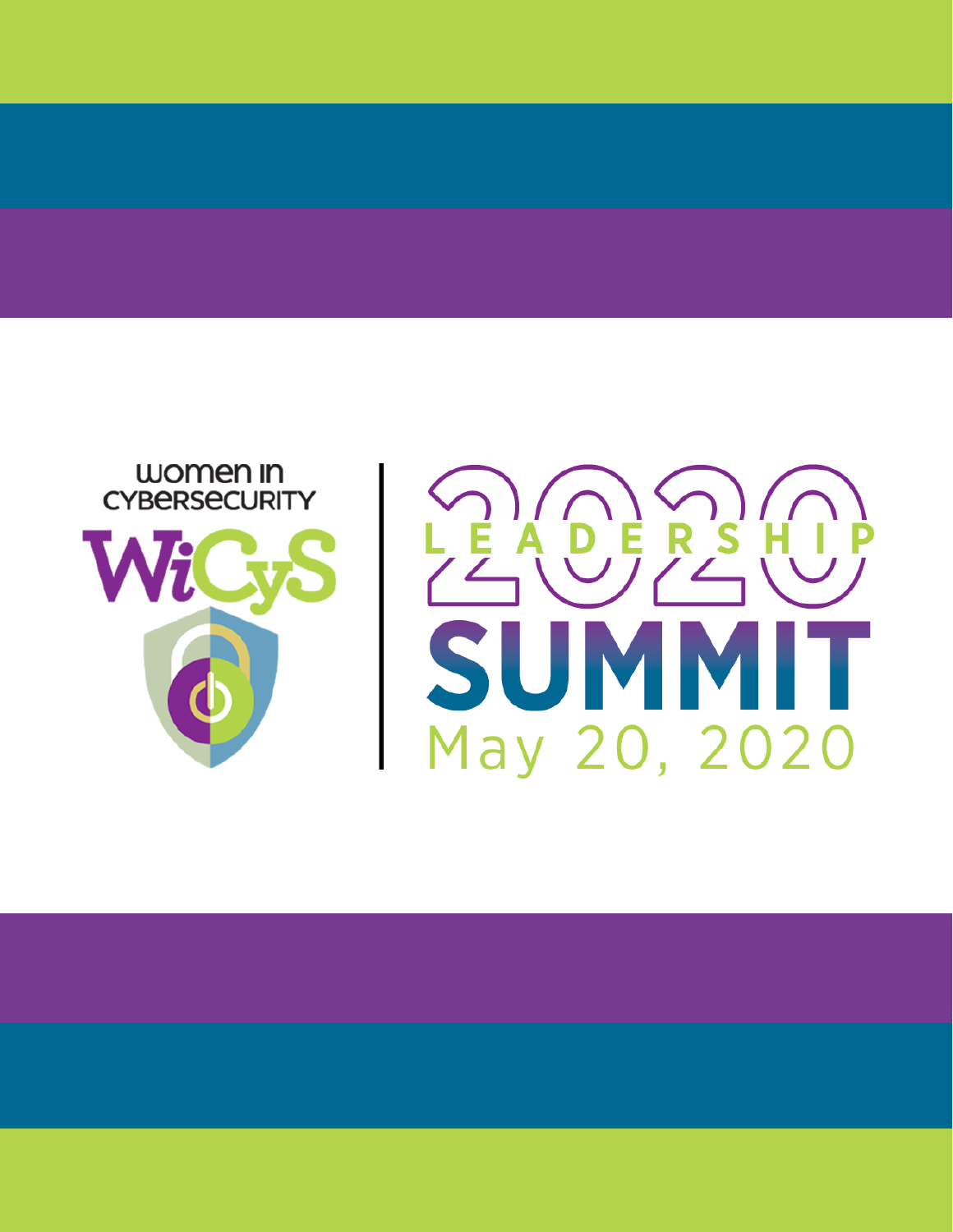

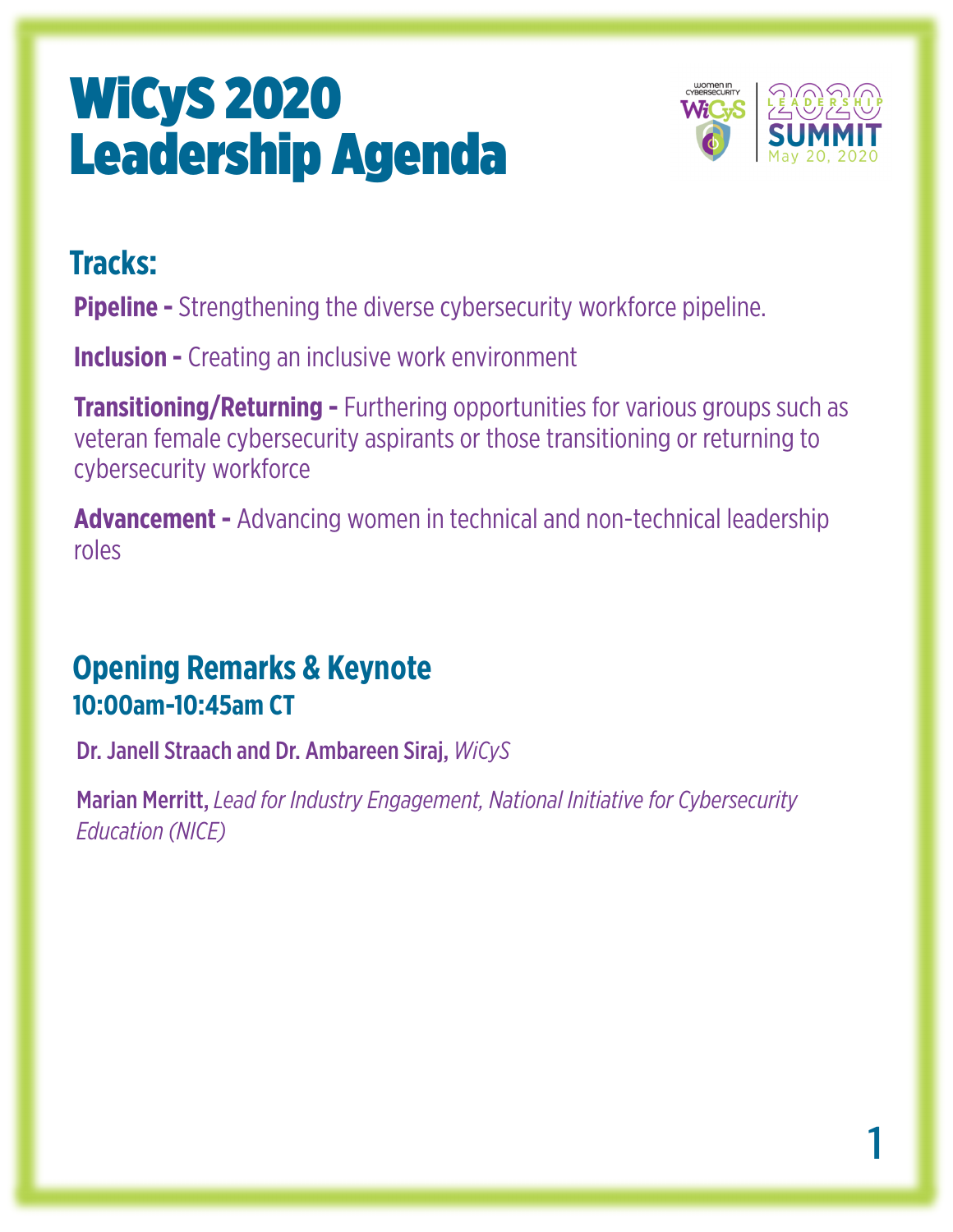

### **Tracks:**

**Pipeline -** Strengthening the diverse cybersecurity workforce pipeline.

**Inclusion -** Creating an inclusive work environment

**Transitioning/Returning -** Furthering opportunities for various groups such as veteran female cybersecurity aspirants or those transitioning or returning to cybersecurity workforce

**Advancement -** Advancing women in technical and non-technical leadership roles

### **Opening Remarks & Keynote 10:00am-10:45am CT**

Dr. Janell Straach and Dr. Ambareen Siraj, *WiCyS*

Marian Merritt, *Lead for Industry Engagement, National Initiative for Cybersecurity Education (NICE)*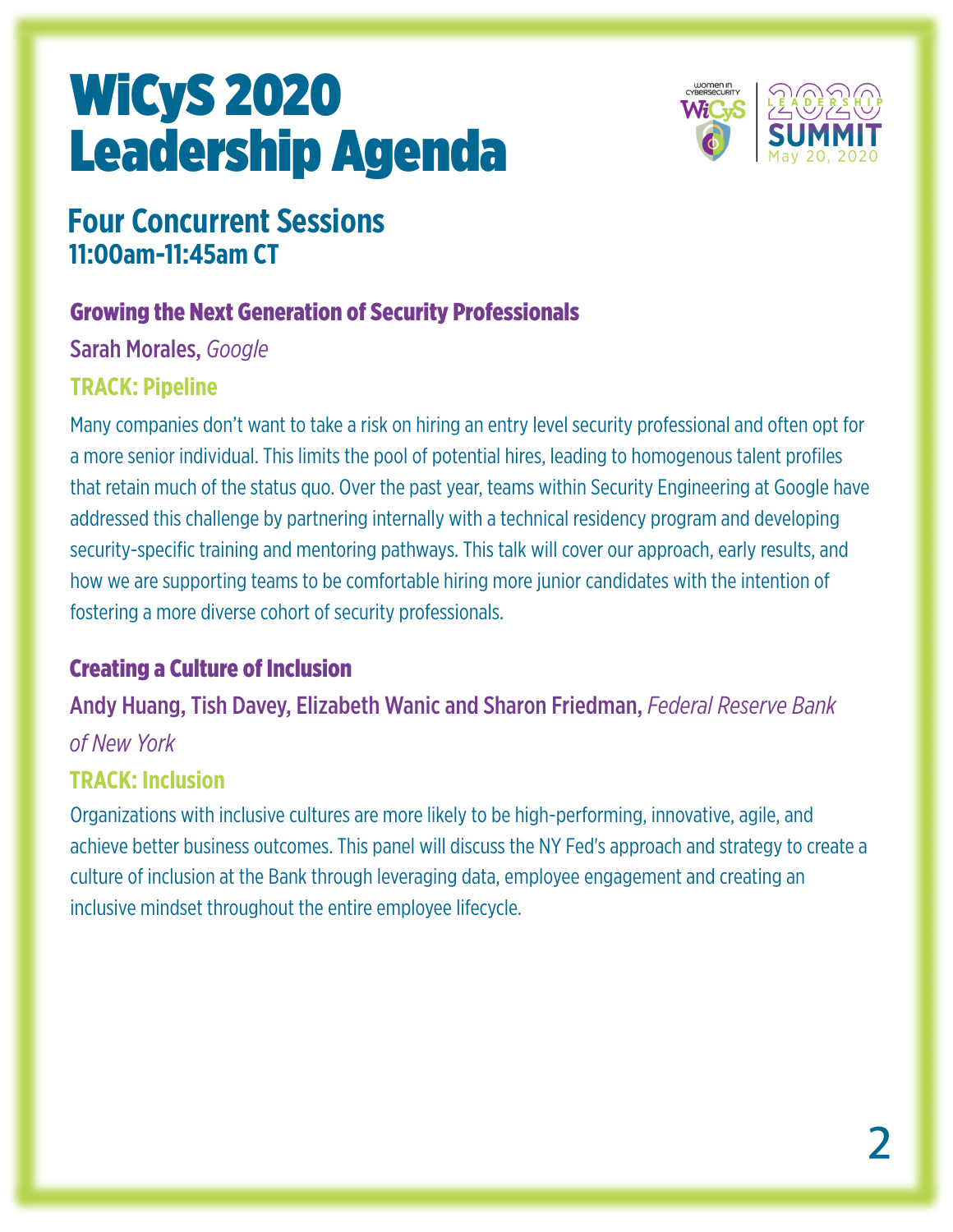

### **Four Concurrent Sessions 11:00am-11:45am CT**

#### Growing the Next Generation of Security Professionals

Sarah Morales, *Google*

#### **TRACK: Pipeline**

Many companies don't want to take a risk on hiring an entry level security professional and often opt for a more senior individual. This limits the pool of potential hires, leading to homogenous talent profiles that retain much of the status quo. Over the past year, teams within Security Engineering at Google have addressed this challenge by partnering internally with a technical residency program and developing security-specific training and mentoring pathways. This talk will cover our approach, early results, and how we are supporting teams to be comfortable hiring more junior candidates with the intention of fostering a more diverse cohort of security professionals.

#### Creating a Culture of Inclusion

Andy Huang, Tish Davey, Elizabeth Wanic and Sharon Friedman, *Federal Reserve Bank of New York*

#### **TRACK: Inclusion**

Organizations with inclusive cultures are more likely to be high-performing, innovative, agile, and achieve better business outcomes. This panel will discuss the NY Fed's approach and strategy to create a culture of inclusion at the Bank through leveraging data, employee engagement and creating an inclusive mindset throughout the entire employee lifecycle.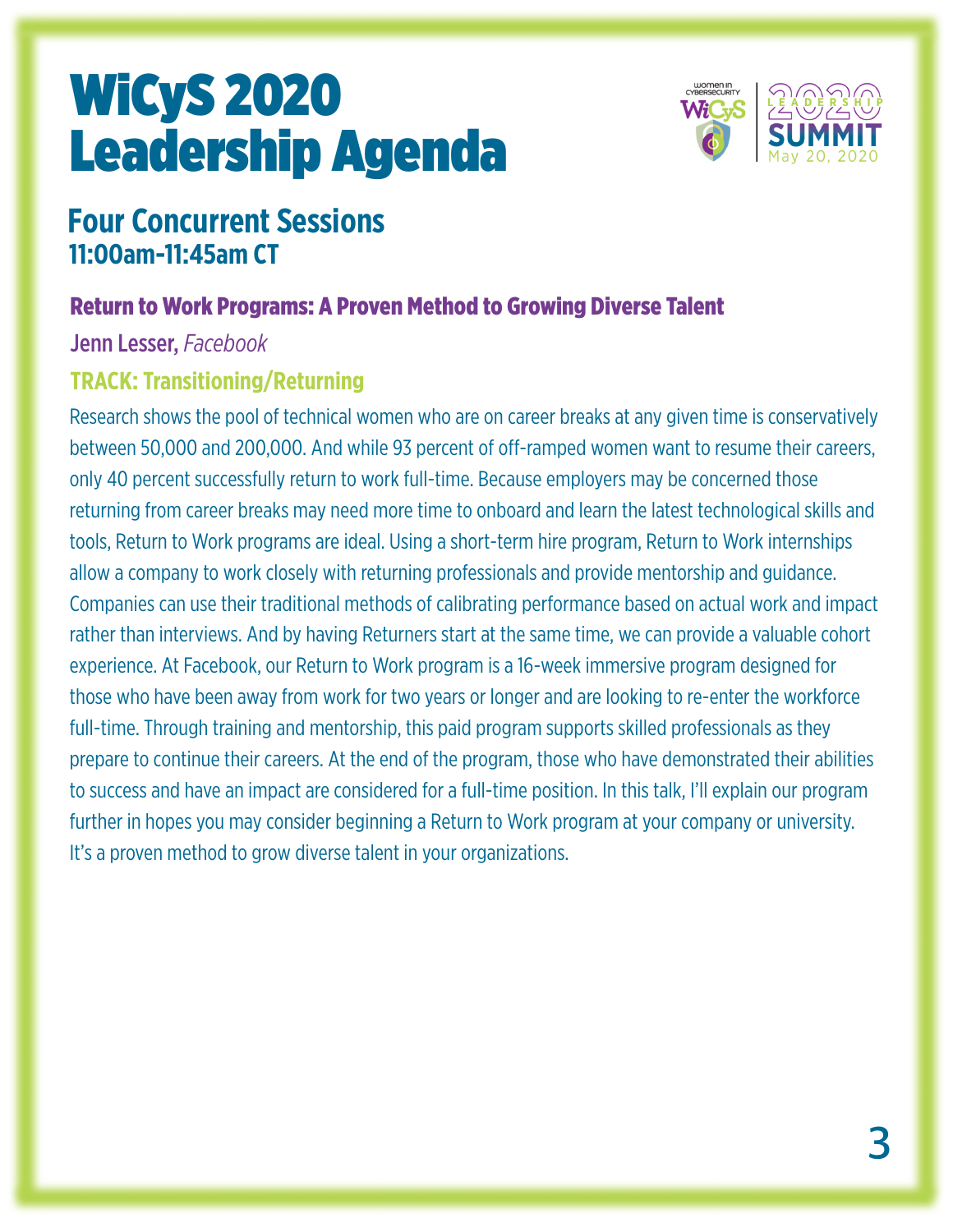

### **Four Concurrent Sessions 11:00am-11:45am CT**

#### Return to Work Programs: A Proven Method to Growing Diverse Talent

Jenn Lesser, *Facebook*

#### **TRACK: Transitioning/Returning**

Research shows the pool of technical women who are on career breaks at any given time is conservatively between 50,000 and 200,000. And while 93 percent of off-ramped women want to resume their careers, only 40 percent successfully return to work full-time. Because employers may be concerned those returning from career breaks may need more time to onboard and learn the latest technological skills and tools, Return to Work programs are ideal. Using a short-term hire program, Return to Work internships allow a company to work closely with returning professionals and provide mentorship and guidance. Companies can use their traditional methods of calibrating performance based on actual work and impact rather than interviews. And by having Returners start at the same time, we can provide a valuable cohort experience. At Facebook, our Return to Work program is a 16-week immersive program designed for those who have been away from work for two years or longer and are looking to re-enter the workforce full-time. Through training and mentorship, this paid program supports skilled professionals as they prepare to continue their careers. At the end of the program, those who have demonstrated their abilities to success and have an impact are considered for a full-time position. In this talk, I'll explain our program further in hopes you may consider beginning a Return to Work program at your company or university. It's a proven method to grow diverse talent in your organizations.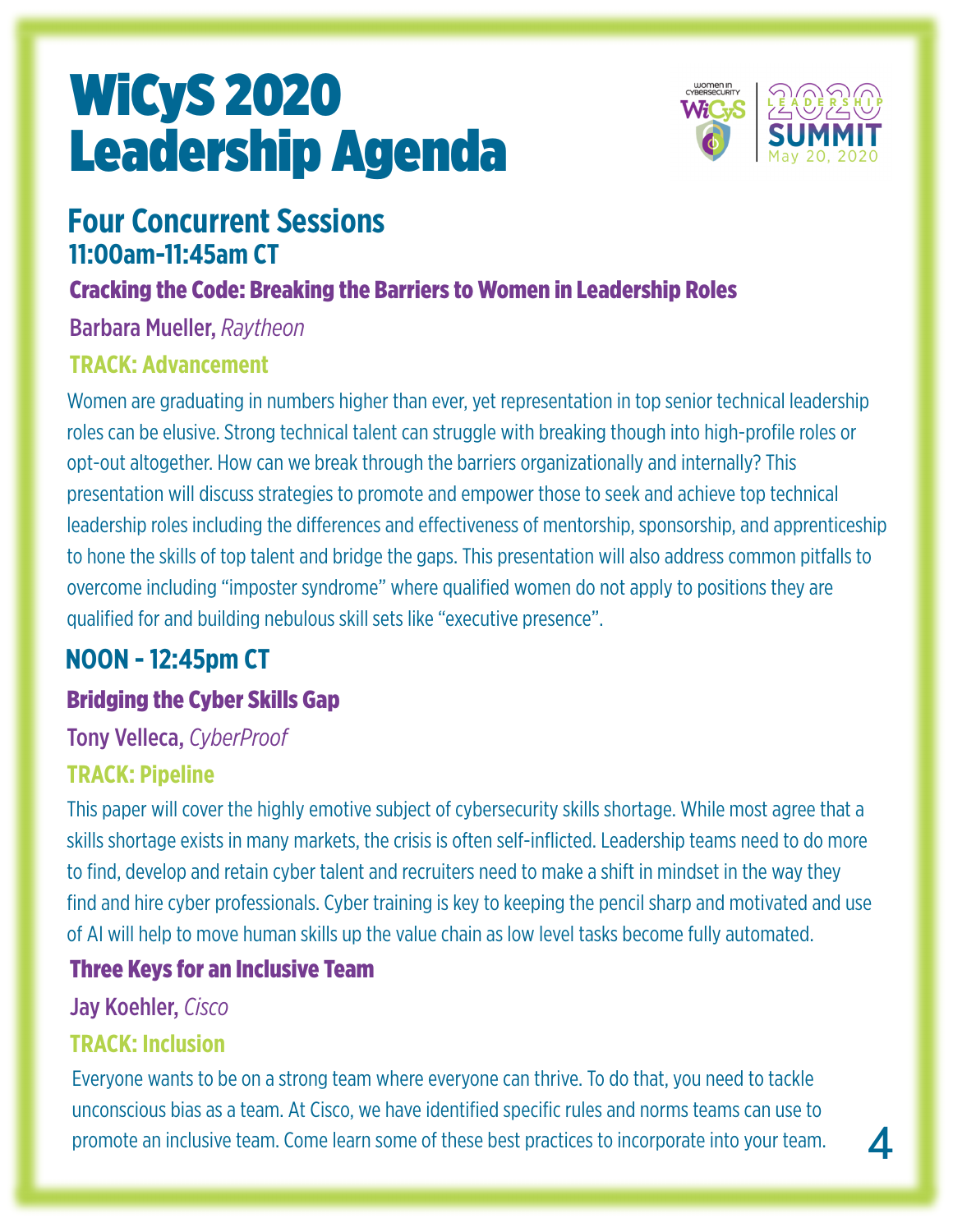

#### **Four Concurrent Sessions 11:00am-11:45am CT**

#### Cracking the Code: Breaking the Barriers to Women in Leadership Roles

Barbara Mueller, *Raytheon*

#### **TRACK: Advancement**

Women are graduating in numbers higher than ever, yet representation in top senior technical leadership roles can be elusive. Strong technical talent can struggle with breaking though into high-profile roles or opt-out altogether. How can we break through the barriers organizationally and internally? This presentation will discuss strategies to promote and empower those to seek and achieve top technical leadership roles including the differences and effectiveness of mentorship, sponsorship, and apprenticeship to hone the skills of top talent and bridge the gaps. This presentation will also address common pitfalls to overcome including "imposter syndrome" where qualified women do not apply to positions they are qualified for and building nebulous skill sets like "executive presence".

### **NOON - 12:45pm CT**

#### Bridging the Cyber Skills Gap

#### Tony Velleca, *CyberProof*

#### **TRACK: Pipeline**

This paper will cover the highly emotive subject of cybersecurity skills shortage. While most agree that a skills shortage exists in many markets, the crisis is often self-inflicted. Leadership teams need to do more to find, develop and retain cyber talent and recruiters need to make a shift in mindset in the way they find and hire cyber professionals. Cyber training is key to keeping the pencil sharp and motivated and use of AI will help to move human skills up the value chain as low level tasks become fully automated.

#### Three Keys for an Inclusive Team

Jay Koehler, *Cisco*

#### **TRACK: Inclusion**

Everyone wants to be on a strong team where everyone can thrive. To do that, you need to tackle unconscious bias as a team. At Cisco, we have identified specific rules and norms teams can use to promote an inclusive team. Come learn some of these best practices to incorporate into your team.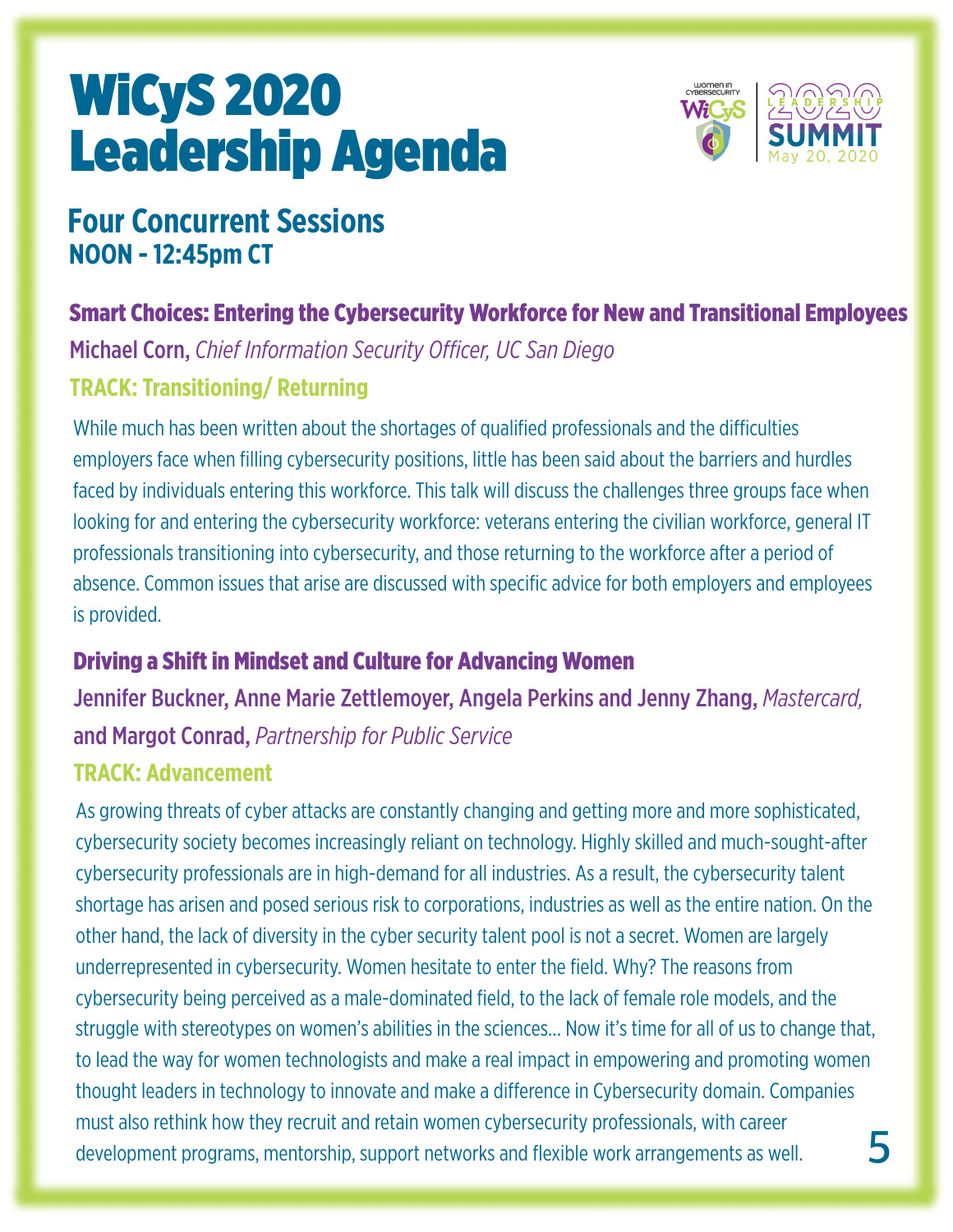

### **Four Concurrent Sessions NOON - 12:45pm CT**

#### Smart Choices: Entering the Cybersecurity Workforce for New and Transitional Employees

Michael Corn, *Chief Information Security Officer, UC San Diego*

#### **TRACK: Transitioning/ Returning**

While much has been written about the shortages of qualified professionals and the difficulties employers face when filling cybersecurity positions, little has been said about the barriers and hurdles faced by individuals entering this workforce. This talk will discuss the challenges three groups face when looking for and entering the cybersecurity workforce: veterans entering the civilian workforce, general IT professionals transitioning into cybersecurity, and those returning to the workforce after a period of absence. Common issues that arise are discussed with specific advice for both employers and employees is provided.

#### Driving a Shift in Mindset and Culture for Advancing Women

Jennifer Buckner, Anne Marie Zettlemoyer, Angela Perkins and Jenny Zhang, *Mastercard,* and Margot Conrad, *Partnership for Public Service*

#### **TRACK: Advancement**

**5** As growing threats of cyber attacks are constantly changing and getting more and more sophisticated, cybersecurity society becomes increasingly reliant on technology. Highly skilled and much-sought-after cybersecurity professionals are in high-demand for all industries. As a result, the cybersecurity talent shortage has arisen and posed serious risk to corporations, industries as well as the entire nation. On the other hand, the lack of diversity in the cyber security talent pool is not a secret. Women are largely underrepresented in cybersecurity. Women hesitate to enter the field. Why? The reasons from cybersecurity being perceived as a male-dominated field, to the lack of female role models, and the struggle with stereotypes on women's abilities in the sciences… Now it's time for all of us to change that, to lead the way for women technologists and make a real impact in empowering and promoting women thought leaders in technology to innovate and make a difference in Cybersecurity domain. Companies must also rethink how they recruit and retain women cybersecurity professionals, with career development programs, mentorship, support networks and flexible work arrangements as well.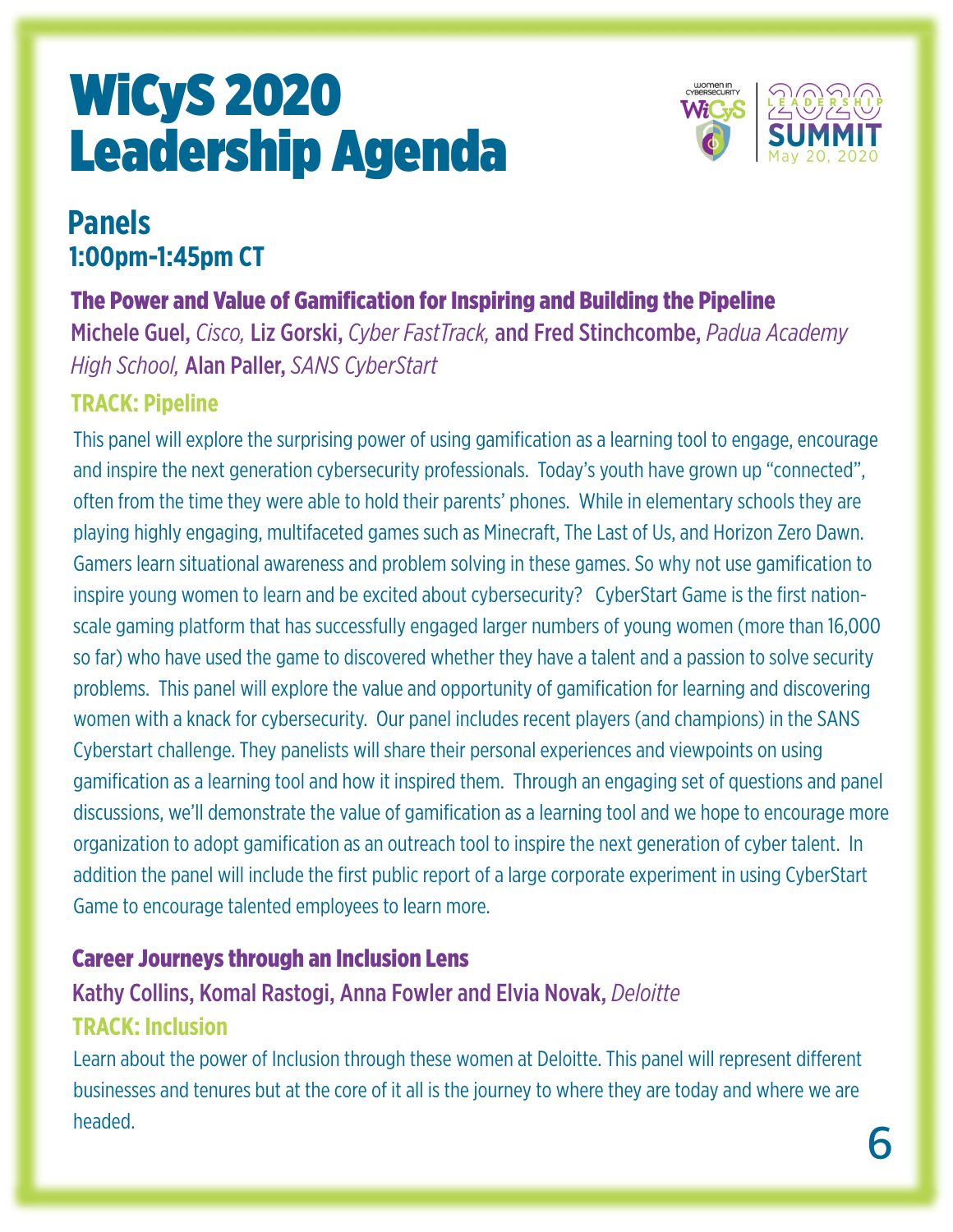

### **Panels 1:00pm-1:45pm CT**

#### The Power and Value of Gamification for Inspiring and Building the Pipeline

Michele Guel, *Cisco,* Liz Gorski, *Cyber FastTrack,* and Fred Stinchcombe, *Padua Academy High School,* Alan Paller, *SANS CyberStart*

#### **TRACK: Pipeline**

This panel will explore the surprising power of using gamification as a learning tool to engage, encourage and inspire the next generation cybersecurity professionals. Today's youth have grown up "connected", often from the time they were able to hold their parents' phones. While in elementary schools they are playing highly engaging, multifaceted games such as Minecraft, The Last of Us, and Horizon Zero Dawn. Gamers learn situational awareness and problem solving in these games. So why not use gamification to inspire young women to learn and be excited about cybersecurity? CyberStart Game is the first nationscale gaming platform that has successfully engaged larger numbers of young women (more than 16,000 so far) who have used the game to discovered whether they have a talent and a passion to solve security problems. This panel will explore the value and opportunity of gamification for learning and discovering women with a knack for cybersecurity. Our panel includes recent players (and champions) in the SANS Cyberstart challenge. They panelists will share their personal experiences and viewpoints on using gamification as a learning tool and how it inspired them. Through an engaging set of questions and panel discussions, we'll demonstrate the value of gamification as a learning tool and we hope to encourage more organization to adopt gamification as an outreach tool to inspire the next generation of cyber talent. In addition the panel will include the first public report of a large corporate experiment in using CyberStart Game to encourage talented employees to learn more.

#### Career Journeys through an Inclusion Lens

## Kathy Collins, Komal Rastogi, Anna Fowler and Elvia Novak, *Deloitte*

#### **TRACK: Inclusion**

Learn about the power of Inclusion through these women at Deloitte. This panel will represent different businesses and tenures but at the core of it all is the journey to where they are today and where we are headed.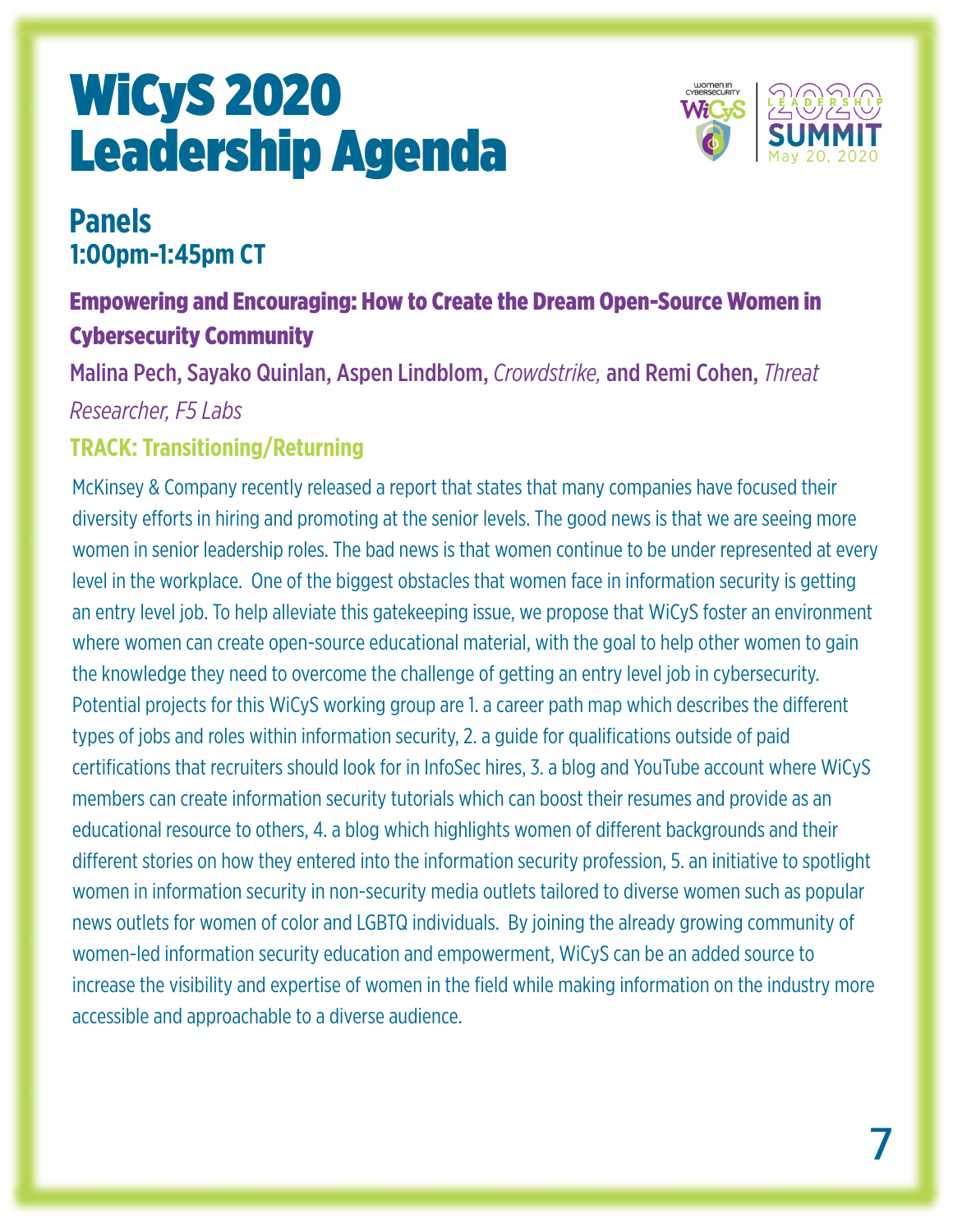

### **Panels 1:00pm-1:45pm CT**

#### Empowering and Encouraging: How to Create the Dream Open-Source Women in Cybersecurity Community

Malina Pech, Sayako Quinlan, Aspen Lindblom, *Crowdstrike,* and Remi Cohen, *Threat Researcher, F5 Labs*

#### **TRACK: Transitioning/Returning**

McKinsey & Company recently released a report that states that many companies have focused their diversity efforts in hiring and promoting at the senior levels. The good news is that we are seeing more women in senior leadership roles. The bad news is that women continue to be under represented at every level in the workplace. One of the biggest obstacles that women face in information security is getting an entry level job. To help alleviate this gatekeeping issue, we propose that WiCyS foster an environment where women can create open-source educational material, with the goal to help other women to gain the knowledge they need to overcome the challenge of getting an entry level job in cybersecurity. Potential projects for this WiCyS working group are 1. a career path map which describes the different types of jobs and roles within information security, 2. a guide for qualifications outside of paid certifications that recruiters should look for in InfoSec hires, 3. a blog and YouTube account where WiCyS members can create information security tutorials which can boost their resumes and provide as an educational resource to others, 4. a blog which highlights women of different backgrounds and their different stories on how they entered into the information security profession, 5. an initiative to spotlight women in information security in non-security media outlets tailored to diverse women such as popular news outlets for women of color and LGBTQ individuals. By joining the already growing community of women-led information security education and empowerment, WiCyS can be an added source to increase the visibility and expertise of women in the field while making information on the industry more accessible and approachable to a diverse audience.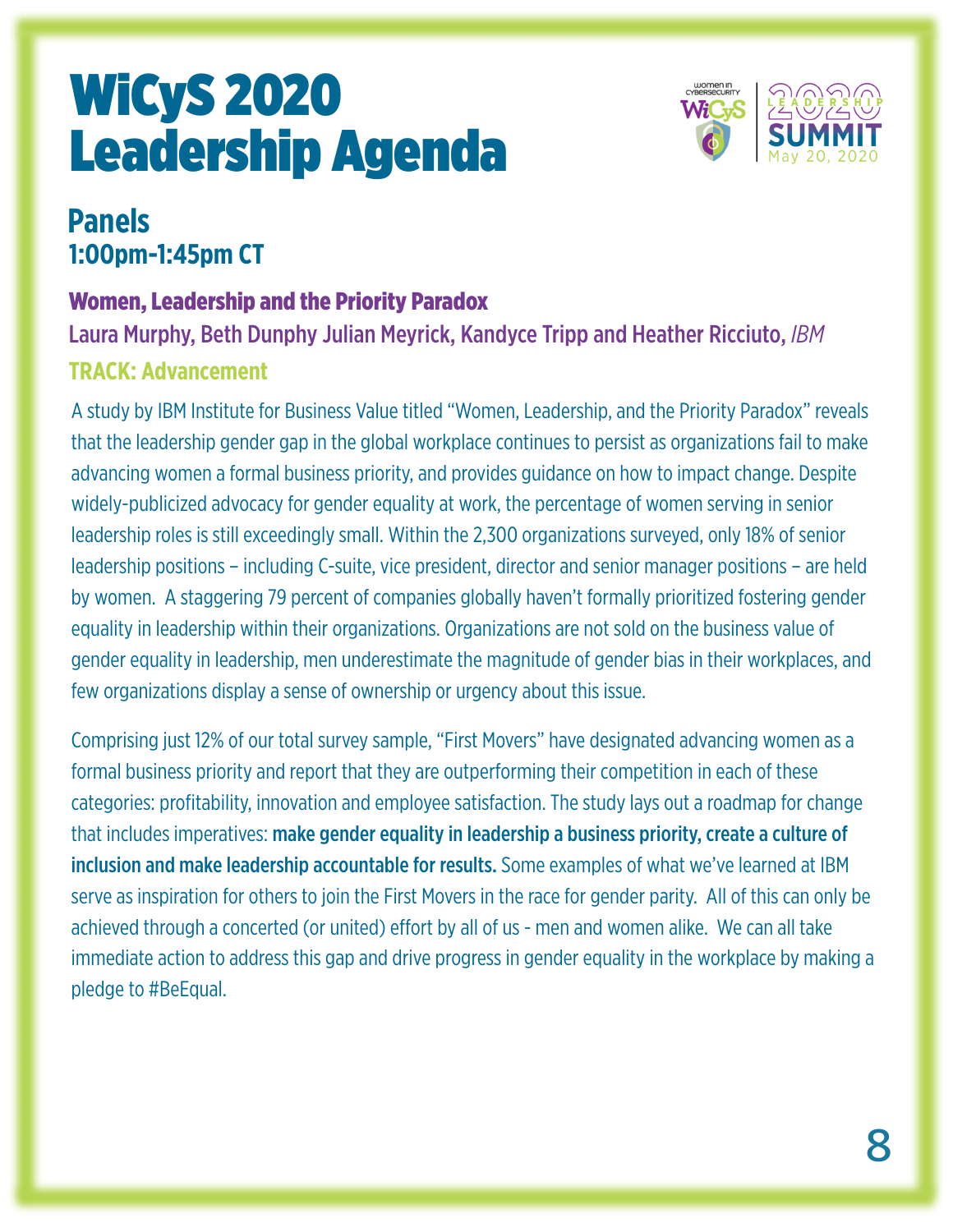

### **Panels 1:00pm-1:45pm CT**

#### Women, Leadership and the Priority Paradox

Laura Murphy, Beth Dunphy Julian Meyrick, Kandyce Tripp and Heather Ricciuto, *IBM*

#### **TRACK: Advancement**

A study by IBM Institute for Business Value titled "Women, Leadership, and the Priority Paradox" reveals that the leadership gender gap in the global workplace continues to persist as organizations fail to make advancing women a formal business priority, and provides guidance on how to impact change. Despite widely-publicized advocacy for gender equality at work, the percentage of women serving in senior leadership roles is still exceedingly small. Within the 2,300 organizations surveyed, only 18% of senior leadership positions – including C-suite, vice president, director and senior manager positions – are held by women. A staggering 79 percent of companies globally haven't formally prioritized fostering gender equality in leadership within their organizations. Organizations are not sold on the business value of gender equality in leadership, men underestimate the magnitude of gender bias in their workplaces, and few organizations display a sense of ownership or urgency about this issue.

Comprising just 12% of our total survey sample, "First Movers" have designated advancing women as a formal business priority and report that they are outperforming their competition in each of these categories: profitability, innovation and employee satisfaction. The study lays out a roadmap for change that includes imperatives: make gender equality in leadership a business priority, create a culture of inclusion and make leadership accountable for results. Some examples of what we've learned at IBM serve as inspiration for others to join the First Movers in the race for gender parity. All of this can only be achieved through a concerted (or united) effort by all of us - men and women alike. We can all take immediate action to address this gap and drive progress in gender equality in the workplace by making a pledge to #BeEqual.